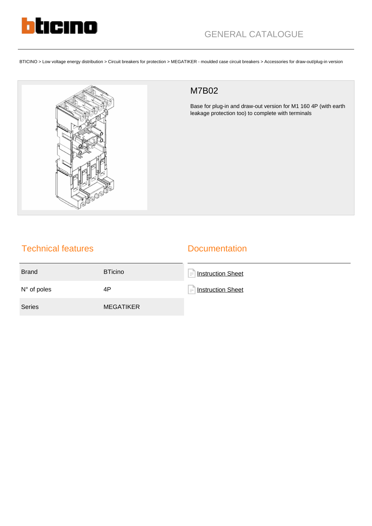

BTICINO > Low voltage energy distribution > Circuit breakers for protection > MEGATIKER - moulded case circuit breakers > Accessories for draw-out/plug-in version



## M7B02

Base for plug-in and draw-out version for M1 160 4P (with earth leakage protection too) to complete with terminals

## Technical features

## **Documentation**

| <b>Brand</b>         | <b>BTicino</b>   | <b>Instruction Sheet</b><br>$=$ 1 |
|----------------------|------------------|-----------------------------------|
| $N^{\circ}$ of poles | 4P               | ⊣<br>Instruction Sheet            |
| <b>Series</b>        | <b>MEGATIKER</b> |                                   |